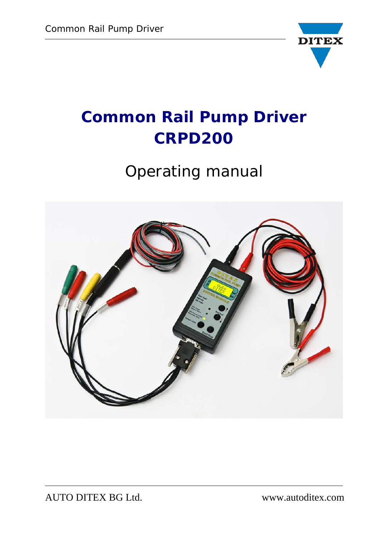

# **Common Rail Pump Driver CRPD200**

# *Operating manual*

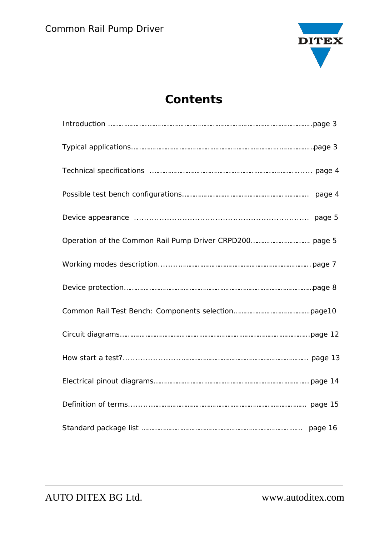

# **Contents**

| page 4 |
|--------|
|        |
|        |
|        |
|        |
|        |
|        |
|        |
|        |
|        |
|        |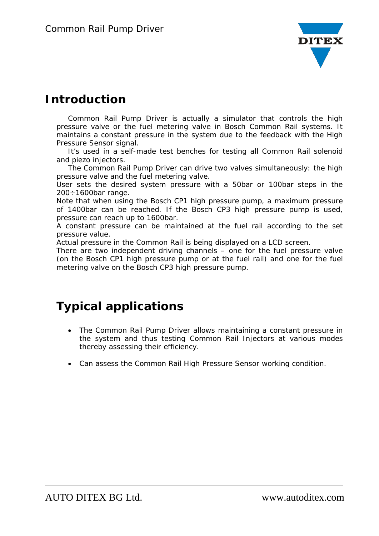

### **Introduction**

Common Rail Pump Driver is actually a simulator that controls the high pressure valve or the fuel metering valve in Bosch Common Rail systems. It maintains a constant pressure in the system due to the feedback with the High Pressure Sensor signal.

It's used in a self-made test benches for testing all Common Rail solenoid and piezo injectors.

Тhe Common Rail Pump Driver can drive two valves simultaneously: the high pressure valve and the fuel metering valve.

User sets the desired system pressure with a 50bar or 100bar steps in the 200÷1600bar range.

Note that when using the Bosch CP1 high pressure pump, a maximum pressure of 1400bar can be reached. If the Bosch CP3 high pressure pump is used, pressure can reach up to 1600bar.

A constant pressure can be maintained at the fuel rail according to the set pressure value.

Actual pressure in the Common Rail is being displayed on a LCD screen.

There are two independent driving channels – one for the fuel pressure valve (on the Bosch CP1 high pressure pump or at the fuel rail) and one for the fuel metering valve on the Bosch CP3 high pressure pump.

## **Typical applications**

- Тhe Common Rail Pump Driver allows maintaining a constant pressure in the system and thus testing Common Rail Injectors at various modes thereby assessing their efficiency.
- Can assess the Common Rail High Pressure Sensor working condition.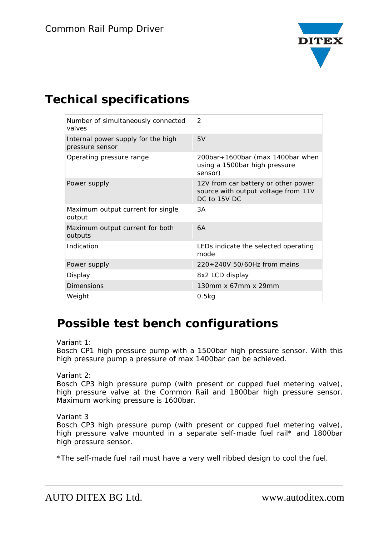

## **Techical specifications**

| Number of simultaneously connected<br>valves          | $\mathcal{P}$                                                                              |
|-------------------------------------------------------|--------------------------------------------------------------------------------------------|
| Internal power supply for the high<br>pressure sensor | 5V                                                                                         |
| Operating pressure range                              | 200bar $\div$ 1600bar (max 1400bar when<br>using a 1500bar high pressure<br>sensor)        |
| Power supply                                          | 12V from car battery or other power<br>source with output voltage from 11V<br>DC to 15V DC |
| Maximum output current for single<br>output           | 3A                                                                                         |
| Maximum output current for both<br>outputs            | 6A                                                                                         |
| Indication                                            | LEDs indicate the selected operating<br>mode                                               |
| Power supply                                          | $220 \div 240V$ 50/60Hz from mains                                                         |
| Display                                               | 8x2 LCD display                                                                            |
| <b>Dimensions</b>                                     | 130mm x 67mm x 29mm                                                                        |
| Weight                                                | 0.5kg                                                                                      |

## **Possible test bench configurations**

Variant 1:

Bosch CP1 high pressure pump with a 1500bar high pressure sensor. With this high pressure pump a pressure of max 1400bar can be achieved.

Variant 2:

Bosch CP3 high pressure pump (with present or cupped fuel metering valve), high pressure valve at the Common Rail and 1800bar high pressure sensor. Maximum working pressure is 1600bar.

Variant 3

Bosch CP3 high pressure pump (with present or cupped fuel metering valve), high pressure valve mounted in a separate self-made fuel rail\* and 1800bar high pressure sensor.

\*The self-made fuel rail must have a very well ribbed design to cool the fuel.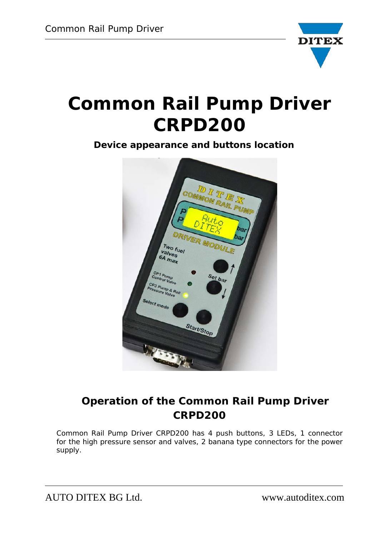

# **Common Rail Pump Driver CRPD200**

**Device appearance and buttons location** 



### **Operation of the Common Rail Pump Driver CRPD200**

Common Rail Pump Driver CRPD200 has 4 push buttons, 3 LEDs, 1 connector for the high pressure sensor and valves, 2 banana type connectors for the power supply.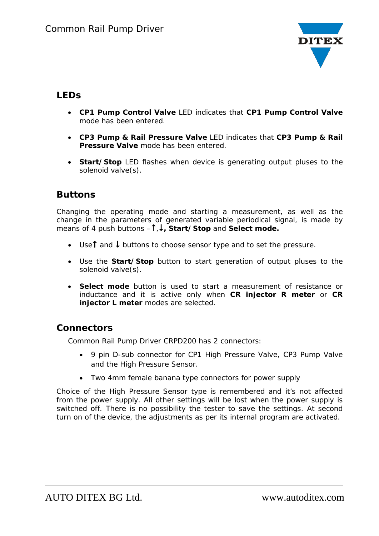

### **LEDs**

- **CP1 Pump Control Valve** LED indicates that **CP1 Pump Control Valve** mode has been entered.
- **CP3 Pump & Rail Pressure Valve** LED indicates that **CP3 Pump & Rail Pressure Valve** mode has been entered.
- **Start/Stop** LED flashes when device is generating output pluses to the solenoid valve(s).

### **Buttons**

Changing the operating mode and starting a measurement, as well as the change in the parameters of generated variable periodical signal, is made by means of 4 push buttons  $-\uparrow$ , **J**, **Start/Stop** and **Select mode.** 

- Use  $\uparrow$  and  $\downarrow$  buttons to choose sensor type and to set the pressure.
- Use the **Start/Stop** button to start generation of output pluses to the solenoid valve(s).
- **Select mode** button is used to start a measurement of resistance or inductance and it is active only when **CR injector R meter** or **CR injector L meter** modes are selected.

#### **Connectors**

Common Rail Pump Driver CRPD200 has 2 connectors:

- 9 pin D-sub connector for CP1 High Pressure Valve, CP3 Pump Valve and the High Pressure Sensor.
- Two 4mm female banana type connectors for power supply

Choice of the High Pressure Sensor type is remembered and it's not affected from the power supply. All other settings will be lost when the power supply is switched off. There is no possibility the tester to save the settings. At second turn on of the device, the adjustments as per its internal program are activated.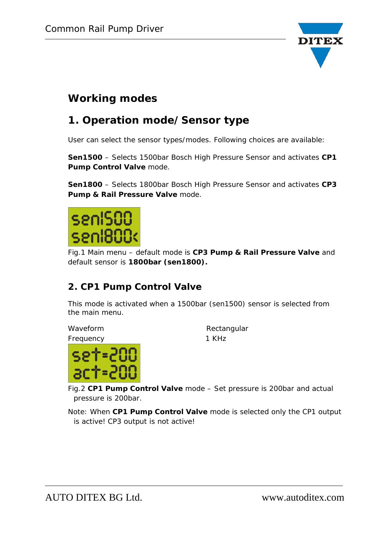

### **Working modes**

### **1. Operation mode/Sensor type**

User can select the sensor types/modes. Following choices are available:

**Sen1500** – Selects 1500bar Bosch High Pressure Sensor and activates **CP1 Pump Control Valve** mode.

**Sen1800** – Selects 1800bar Bosch High Pressure Sensor and activates **CP3 Pump & Rail Pressure Valve** mode.

# sen¦500 sen1800<

Fig.1 Main menu – default mode is **CP3 Pump & Rail Pressure Valve** and default sensor is **1800bar (sen1800).**

### **2. CP1 Pump Control Valve**

This mode is activated when a 1500bar (sen1500) sensor is selected from the main menu.

Frequency 1 KHz



Waveform Rectangular

Fig.2 **CP1 Pump Control Valve** mode – Set pressure is 200bar and actual pressure is 200bar.

Note: When **CP1 Pump Control Valve** mode is selected only the CP1 output is active! CP3 output is not active!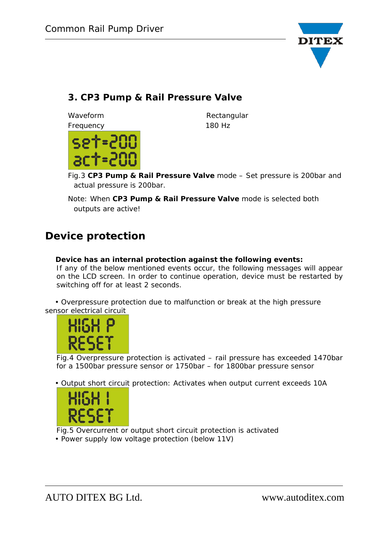

### **3. CP3 Pump & Rail Pressure Valve**

Frequency 180 Hz



Waveform Rectangular

Fig.3 **CP3 Pump & Rail Pressure Valve** mode – Set pressure is 200bar and actual pressure is 200bar.

Note: When **CP3 Pump & Rail Pressure Valve** mode is selected both outputs are active!

### **Device protection**

#### **Device has an internal protection against the following events:**

If any of the below mentioned events occur, the following messages will appear on the LCD screen. In order to continue operation, device must be restarted by switching off for at least 2 seconds.

 • Overpressure protection due to malfunction or break at the high pressure sensor electrical circuit



Fig.4 Overpressure protection is activated – rail pressure has exceeded 1470bar for a 1500bar pressure sensor or 1750bar – for 1800bar pressure sensor

• Output short circuit protection: Activates when output current exceeds 10A



Fig.5 Overcurrent or output short circuit protection is activated • Power supply low voltage protection (below 11V)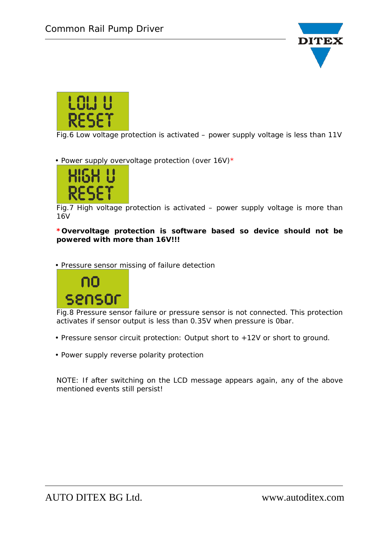



Fig.6 Low voltage protection is activated – power supply voltage is less than 11V

• Power supply overvoltage protection (over 16V)\*



Fig.7 High voltage protection is activated – power supply voltage is more than 16V

**\*Overvoltage protection is software based so device should not be powered with more than 16V!!!**

• Pressure sensor missing of failure detection



Fig.8 Pressure sensor failure or pressure sensor is not connected. This protection activates if sensor output is less than 0.35V when pressure is 0bar.

- Pressure sensor circuit protection: Output short to +12V or short to ground.
- Power supply reverse polarity protection

NOTE: If after switching on the LCD message appears again, any of the above mentioned events still persist!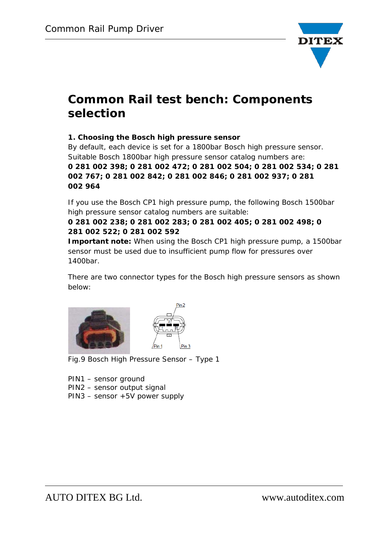

## **Common Rail test bench: Components selection**

#### **1. Choosing the Bosch high pressure sensor**

By default, each device is set for a 1800bar Bosch high pressure sensor. Suitable Bosch 1800bar high pressure sensor catalog numbers are: **0 281 002 398; 0 281 002 472; 0 281 002 504; 0 281 002 534; 0 281 002 767; 0 281 002 842; 0 281 002 846; 0 281 002 937; 0 281 002 964**

If you use the Bosch CP1 high pressure pump, the following Bosch 1500bar high pressure sensor catalog numbers are suitable:

#### **0 281 002 238; 0 281 002 283; 0 281 002 405; 0 281 002 498; 0 281 002 522; 0 281 002 592**

**Important note:** When using the Bosch CP1 high pressure pump, a 1500bar sensor must be used due to insufficient pump flow for pressures over 1400bar.

There are two connector types for the Bosch high pressure sensors as shown below:



Fig.9 Bosch High Pressure Sensor – Type 1

PIN1 – sensor ground PIN2 – sensor output signal PIN3 – sensor +5V power supply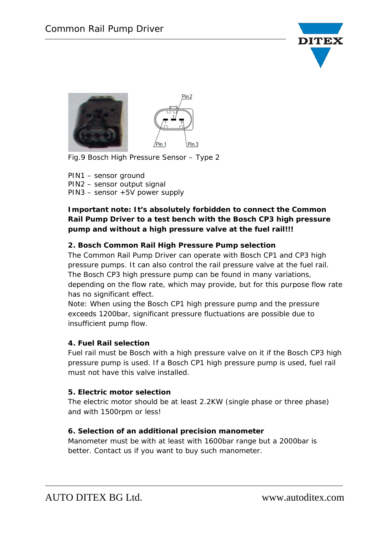



Fig.9 Bosch High Pressure Sensor – Type 2

PIN1 – sensor ground PIN2 – sensor output signal PIN3 – sensor +5V power supply

#### **Important note: It's absolutely forbidden to connect the Common Rail Pump Driver to a test bench with the Bosch CP3 high pressure pump and without a high pressure valve at the fuel rail!!!**

#### **2. Bosch Common Rail High Pressure Pump selection**

The Common Rail Pump Driver can operate with Bosch CP1 and CP3 high pressure pumps. It can also control the rail pressure valve at the fuel rail. The Bosch CP3 high pressure pump can be found in many variations, depending on the flow rate, which may provide, but for this purpose flow rate has no significant effect.

Note: When using the Bosch CP1 high pressure pump and the pressure exceeds 1200bar, significant pressure fluctuations are possible due to insufficient pump flow.

#### **4. Fuel Rail selection**

Fuel rail must be Bosch with a high pressure valve on it if the Bosch CP3 high pressure pump is used. If a Bosch CP1 high pressure pump is used, fuel rail must not have this valve installed.

#### **5. Electric motor selection**

The electric motor should be at least 2.2KW (single phase or three phase) and with 1500rpm or less!

#### **6. Selection of an additional precision manometer**

Manometer must be with at least with 1600bar range but a 2000bar is better. Contact us if you want to buy such manometer.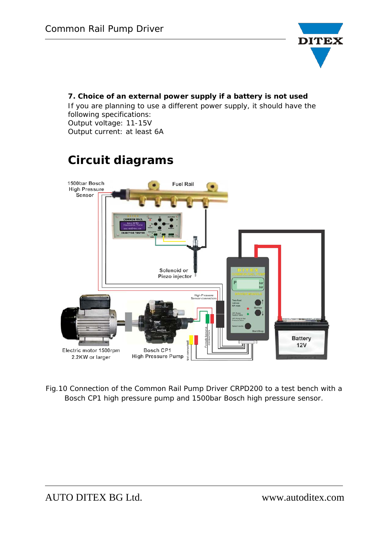

#### **7. Choice of an external power supply if a battery is not used** If you are planning to use a different power supply, it should have the following specifications:

Output voltage: 11-15V Output current: at least 6А

## **Circuit diagrams**



Fig.10 Connection of the Common Rail Pump Driver CRPD200 to a test bench with a Bosch CP1 high pressure pump and 1500bar Bosch high pressure sensor.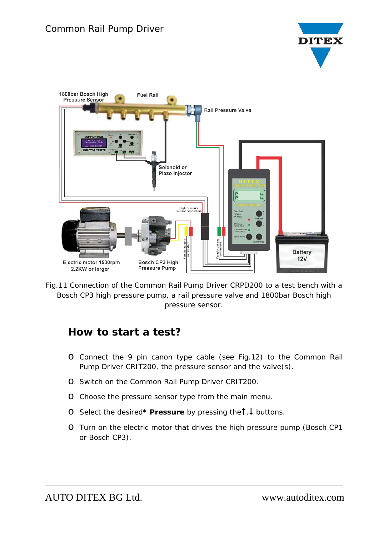



Fig.11 Connection of the Common Rail Pump Driver CRPD200 to a test bench with a Bosch CP3 high pressure pump, a rail pressure valve and 1800bar Bosch high pressure sensor.

### **How to start a test?**

- o Connect the 9 pin canon type cable (see Fig.12) to the Common Rail Pump Driver CRIT200, the pressure sensor and the valve(s).
- o Switch on the Common Rail Pump Driver CRIT200.
- o Choose the pressure sensor type from the main menu.
- **○** Select the desired\* **Pressure** by pressing the  $\uparrow$ , ↓ buttons.
- o Turn on the electric motor that drives the high pressure pump (Bosch CP1 or Bosch CP3).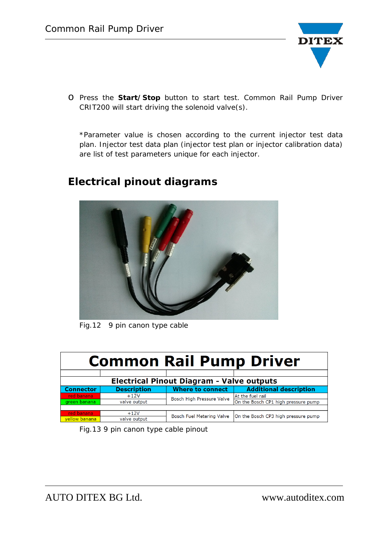

o Press the **Start/Stop** button to start test. Common Rail Pump Driver CRIT200 will start driving the solenoid valve(s).

\*Parameter value is chosen according to the current injector test data plan. Injector test data plan (injector test plan or injector calibration data) are list of test parameters unique for each injector.



### **Electrical pinout diagrams**

Fig.12 9 pin canon type cable

| <b>Common Rail Pump Driver</b>                   |                    |                           |                                     |  |  |
|--------------------------------------------------|--------------------|---------------------------|-------------------------------------|--|--|
|                                                  |                    |                           |                                     |  |  |
| <b>Electrical Pinout Diagram - Valve outputs</b> |                    |                           |                                     |  |  |
| <b>Connector</b>                                 | <b>Description</b> | <b>Where to connect</b>   | <b>Additional description</b>       |  |  |
| red banana                                       | $+12V$             | Bosch High Pressure Valve | At the fuel rail                    |  |  |
| green banana                                     | valve output       |                           | On the Bosch CP1 high pressure pump |  |  |
|                                                  |                    |                           |                                     |  |  |
| red banana                                       | $+12V$             | Bosch Fuel Metering Valve | On the Bosch CP3 high pressure pump |  |  |
| vellow banana                                    | valve output       |                           |                                     |  |  |

Fig.13 9 pin canon type cable pinout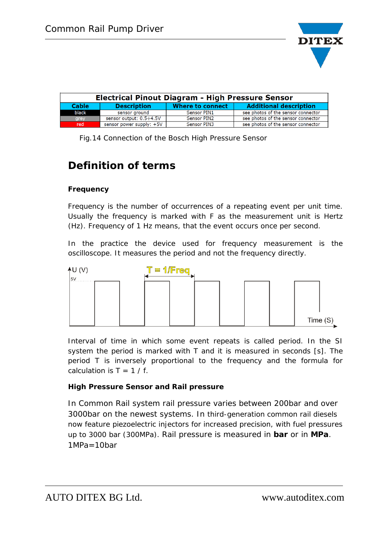

| <b>Electrical Pinout Diagram - High Pressure Sensor</b> |                          |                  |                                    |  |  |
|---------------------------------------------------------|--------------------------|------------------|------------------------------------|--|--|
| <b>Cable</b>                                            | <b>Description</b>       | Where to connect | <b>Additional description</b>      |  |  |
| black                                                   | sensor ground            | Sensor PIN1      | see photos of the sensor connector |  |  |
| grey                                                    | sensor output: 0.5÷4.5V  | Sensor PIN2      | see photos of the sensor connector |  |  |
| red.                                                    | sensor power supply: +5V | Sensor PIN3      | see photos of the sensor connector |  |  |

Fig.14 Connection of the Bosch High Pressure Sensor

### **Definition of terms**

#### **Frequency**

Frequency is the number of occurrences of a repeating event per unit time. Usually the frequency is marked with F as the measurement unit is Hertz (Hz). Frequency of 1 Hz means, that the event occurs once per second.

In the practice the device used for frequency measurement is the oscilloscope. It measures the period and not the frequency directly.



Interval of time in which some event repeats is called period. In the SI system the period is marked with T and it is measured in seconds [s]. The period T is inversely proportional to the frequency and the formula for calculation is  $T = 1 / f$ .

#### **High Pressure Sensor and Rail pressure**

In Common Rail system rail pressure varies between 200bar and over 3000bar on the newest systems. In third-generation common rail diesels now feature piezoelectric injectors for increased precision, with fuel pressures up to 3000 bar (300MPa). Rail pressure is measured in **bar** or in **MPa**. 1MPa=10bar